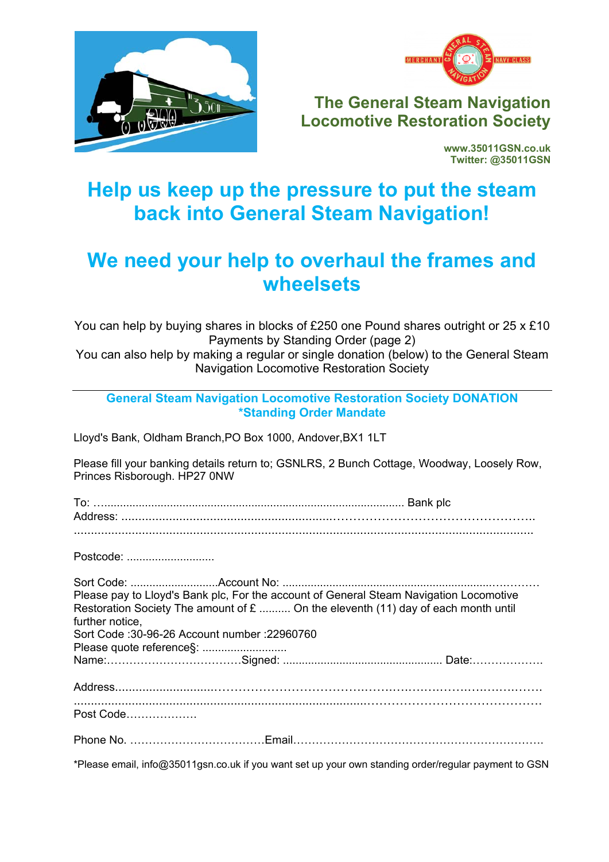



**The General Steam Navigation Locomotive Restoration Society** 

> **www.35011GSN.co.uk Twitter: @35011GSN**

## **Help us keep up the pressure to put the steam back into General Steam Navigation!**

## **We need your help to overhaul the frames and wheelsets**

You can help by buying shares in blocks of £250 one Pound shares outright or 25 x £10 Payments by Standing Order (page 2)

You can also help by making a regular or single donation (below) to the General Steam Navigation Locomotive Restoration Society

**General Steam Navigation Locomotive Restoration Society DONATION \*Standing Order Mandate** 

Lloyd's Bank, Oldham Branch,PO Box 1000, Andover,BX1 1LT

Please fill your banking details return to; GSNLRS, 2 Bunch Cottage, Woodway, Loosely Row, Princes Risborough. HP27 0NW

To: …................................................................................................ Bank plc Address: ..............................................................………………………………………….. Postcode: ............................. Sort Code: ............................Account No: ...................................................................….……… Please pay to Lloyd's Bank plc, For the account of General Steam Navigation Locomotive Restoration Society The amount of  $E$  .......... On the eleventh (11) day of each month until further notice, Sort Code :30-96-26 Account number :22960760 Please quote reference§: ........................... Name:………………………………Signed: ................................................... Date:………………. Address.............................……………………………….…….….….….…….….….….……. ......................................................................................……………………………………. Post Code………………. Phone No. ………………………………Email…………………………………………………………. \*Please email, info@35011gsn.co.uk if you want set up your own standing order/regular payment to GSN